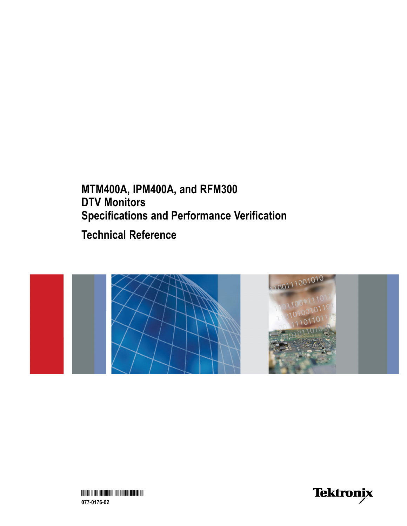## **MTM400A, IPM400A, and RFM300 DTV Monitors Specifications and Performance Verification**

**Technical Reference**



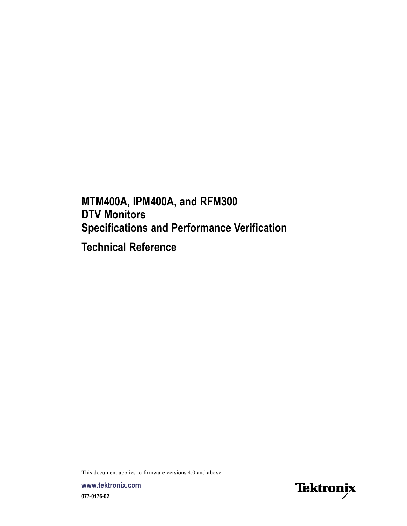**MTM400A, IPM400A, and RFM300 DTV Monitors Specifications and Performance Verification**

**Technical Reference**

This document applies to firmware versions 4.0 and above.

**www.tektronix.com 077-0176-02**

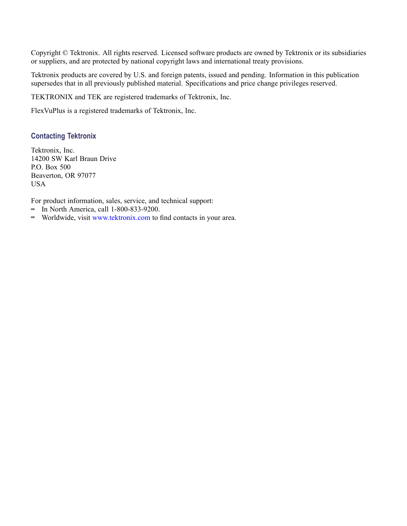Copyright © Tektronix. All rights reserved. Licensed software products are owned by Tektronix or its subsidiaries or suppliers, and are protected by national copyright laws and international treaty provisions.

Tektronix products are covered by U.S. and foreign patents, issued and pending. Information in this publication supersedes that in all previously published material. Specifications and price change privileges reserved.

TEKTRONIX and TEK are registered trademarks of Tektronix, Inc.

FlexVuPlus is a registered trademarks of Tektronix, Inc.

#### **Contacting Tektronix**

Tektronix, Inc. 14200 SW Karl Braun Drive P.O. Box 500 Beaverton, OR 97077 USA

For product information, sales, service, and technical support:

- $\blacksquare$  In North America, call 1-800-833-9200.
- Worldwide, visit [www.tektronix.com](http://www.tektronix.com/contact) to find contacts in your area.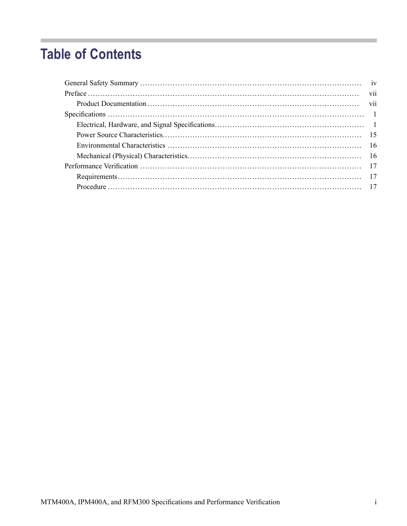## **Table of Contents**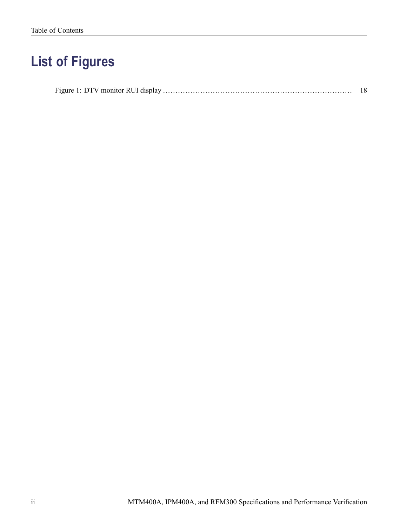# **List of Figures**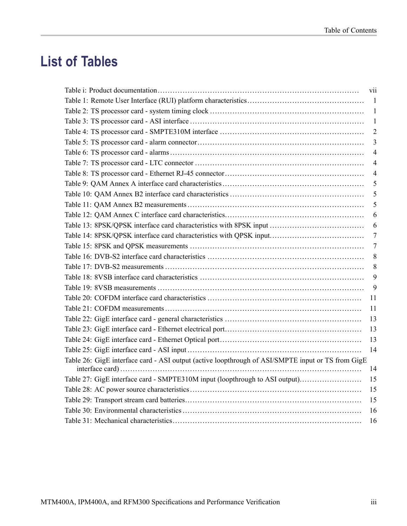# **List of Tables**

|                                                                                                   | vii            |
|---------------------------------------------------------------------------------------------------|----------------|
|                                                                                                   | -1             |
|                                                                                                   | $\mathbf{1}$   |
|                                                                                                   | $\mathbf{1}$   |
|                                                                                                   | $\overline{2}$ |
|                                                                                                   | 3              |
|                                                                                                   | 4              |
|                                                                                                   | $\overline{4}$ |
|                                                                                                   | 4              |
|                                                                                                   | 5              |
|                                                                                                   | 5              |
|                                                                                                   | 5              |
|                                                                                                   | 6              |
|                                                                                                   | 6              |
| Table 14: 8PSK/QPSK interface card characteristics with QPSK input                                | $\tau$         |
|                                                                                                   | $\tau$         |
|                                                                                                   | 8              |
|                                                                                                   | 8              |
|                                                                                                   | 9              |
|                                                                                                   | 9              |
|                                                                                                   | 11             |
|                                                                                                   | 11             |
|                                                                                                   | 13             |
|                                                                                                   | 13             |
|                                                                                                   | 13             |
|                                                                                                   | 14             |
| Table 26: GigE interface card - ASI output (active loopthrough of ASI/SMPTE input or TS from GigE | 14             |
| Table 27: GigE interface card - SMPTE310M input (loopthrough to ASI output)                       | 15             |
|                                                                                                   | 15             |
|                                                                                                   | 15             |
|                                                                                                   | 16             |
|                                                                                                   | 16             |
|                                                                                                   |                |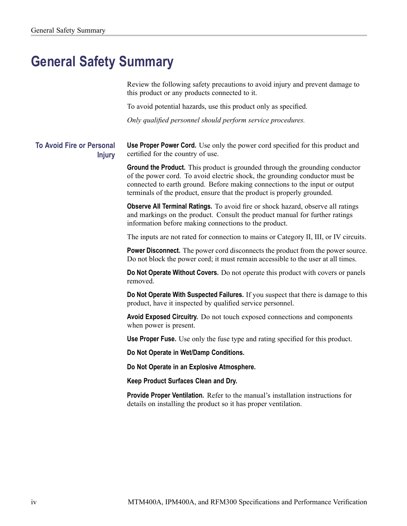## <span id="page-7-0"></span>**General Safety Summary**

Review the following safety precautions to avoid injury and prevent damage to this product or any products connected to it.

To avoid potential hazards, use this product only as specified.

*Only qualified personnel should perform service procedures.*

**To Avoid Fire or Personal Injury Use Proper Power Cord.** Use only the power cord specified for this product and certified for the country of use.

> **Ground the Product.** This product is grounded through the grounding conductor of the power cord. To avoid electric shock, the grounding conductor must be connected to earth ground. Before making connections to the input or output terminals of the product, ensure that the product is properly grounded.

> **Observe All Terminal Ratings.** To avoid fire or shock hazard, observe all ratings and markings on the product. Consult the product manual for further ratings information before making connections to the product.

The inputs are not rated for connection to mains or Category II, III, or IV circuits.

**Power Disconnect.** The power cord disconnects the product from the power source. Do not block the power cord; it must remain accessible to the user at all times.

**Do Not Operate Without Covers.** Do not operate this product with covers or panels removed.

**Do Not Operate With Suspected Failures.** If you suspect that there is damage to this product, have it inspected by qualified service personnel.

**Avoid Exposed Circuitry.** Do not touch exposed connections and components when power is present.

**Use Proper Fuse.** Use only the fuse type and rating specified for this product.

**Do Not Operate in Wet/Damp Conditions.**

**Do Not Operate in an Explosive Atmosphere.**

**Keep Product Surfaces Clean and Dry.**

**Provide Proper Ventilation.** Refer to the manual's installation instructions for details on installing the product so it has proper ventilation.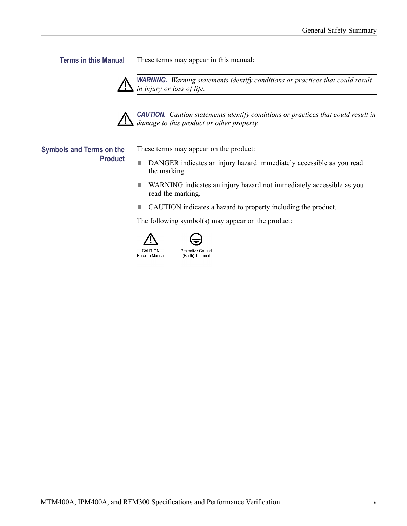**Terms in this Manual** These terms may appear in this manual:

*WARNING. Warning statements identify conditions or practices that could result in injury or loss of life.*



*CAUTION. Caution statements identify conditions or practices that could result in damage to this product or other property.*

#### **Symbols and Terms on the Product**

These terms may appear on the product:

- $\overline{\phantom{a}}$ DANGER indicates an injury hazard immediately accessible as you read the marking.
- $\mathcal{L}_{\mathcal{A}}$ WARNING indicates an injury hazard not immediately accessible as you read the marking.
- $\mathcal{L}_{\mathcal{A}}$ CAUTION indicates a hazard to property including the product.

The following symbol(s) may appear on the product:





Protective Ground (Earth) Terminal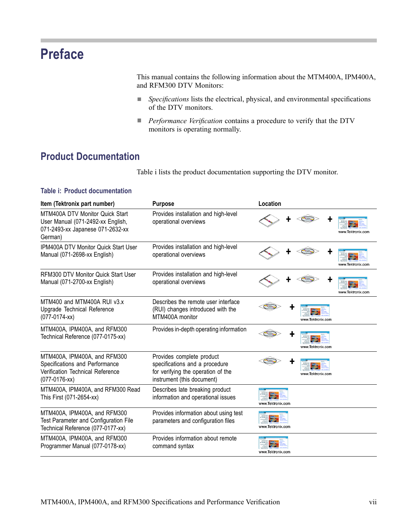## <span id="page-10-0"></span>**Preface**

This manual contains the following information about the MTM400A, IPM400A, and RFM300 DTV Monitors:

- $\Box$ *Specifications* lists the electrical, physical, and environmental specifications of the DTV monitors.
- $\overline{\phantom{a}}$ *Performance Verification* contains a procedure to verify that the DTV monitors is operating normally.

### **Product Documentation**

Table i lists the product documentation supporting the DTV monitor.

| Item (Tektronix part number)                                                                                           | <b>Purpose</b>                                                                                                                  | Location               |
|------------------------------------------------------------------------------------------------------------------------|---------------------------------------------------------------------------------------------------------------------------------|------------------------|
| MTM400A DTV Monitor Quick Start<br>User Manual (071-2492-xx English,<br>071-2493-xx Japanese 071-2632-xx<br>German)    | Provides installation and high-level<br>operational overviews                                                                   | www.Tektronix.com      |
| <b>IPM400A DTV Monitor Quick Start User</b><br>Manual (071-2698-xx English)                                            | Provides installation and high-level<br>operational overviews                                                                   | www.Tektronix.com      |
| <b>RFM300 DTV Monitor Quick Start User</b><br>Manual (071-2700-xx English)                                             | Provides installation and high-level<br>operational overviews                                                                   | www.Tektronix.com      |
| MTM400 and MTM400A RUI v3.x<br>Upgrade Technical Reference<br>$(077-0174-xx)$                                          | Describes the remote user interface<br>(RUI) changes introduced with the<br>MTM400A monitor                                     | www.Tektronix.com      |
| MTM400A, IPM400A, and RFM300<br>Technical Reference (077-0175-xx)                                                      | Provides in-depth operating information                                                                                         | www.Tektronix.com      |
| MTM400A, IPM400A, and RFM300<br>Specifications and Performance<br>Verification Technical Reference<br>$(077-0176$ -xx) | Provides complete product<br>specifications and a procedure<br>for verifying the operation of the<br>instrument (this document) | www.Tektronix.com      |
| MTM400A, IPM400A, and RFM300 Read<br>This First (071-2654-xx)                                                          | Describes late breaking product<br>information and operational issues                                                           | 实<br>www.Tektronix.com |
| MTM400A, IPM400A, and RFM300<br>Test Parameter and Configuration File<br>Technical Reference (077-0177-xx)             | Provides information about using test<br>parameters and configuration files                                                     | www.Tektronix.com      |
| MTM400A, IPM400A, and RFM300<br>Programmer Manual (077-0178-xx)                                                        | Provides information about remote<br>command syntax                                                                             | www.Tektronix.com      |

#### **Table i: Product documentation**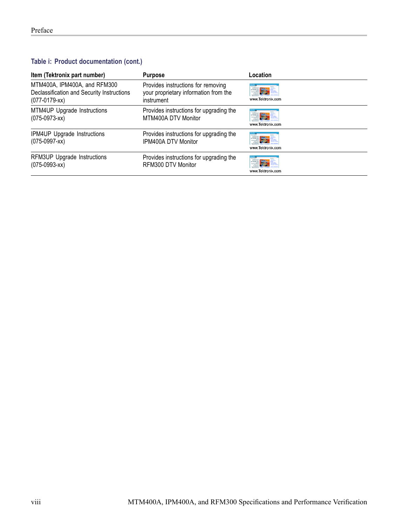#### **Table i: Product documentation (cont.)**

| Item (Tektronix part number)                                                                   | <b>Purpose</b>                                                                            | Location                 |
|------------------------------------------------------------------------------------------------|-------------------------------------------------------------------------------------------|--------------------------|
| MTM400A, IPM400A, and RFM300<br>Declassification and Security Instructions<br>$(077-0179$ -xx) | Provides instructions for removing<br>your proprietary information from the<br>instrument | 事務科<br>www.Tektronix.com |
| MTM4UP Upgrade Instructions<br>$(075-0973-xx)$                                                 | Provides instructions for upgrading the<br>MTM400A DTV Monitor                            | 雪秀<br>www.Tektronix.com  |
| IPM4UP Upgrade Instructions<br>$(075-0997-xx)$                                                 | Provides instructions for upgrading the<br>IPM400A DTV Monitor                            | 事实量<br>www.Tektronix.com |
| RFM3UP Upgrade Instructions<br>$(075-0993-xx)$                                                 | Provides instructions for upgrading the<br>RFM300 DTV Monitor                             | www.Tektronix.com        |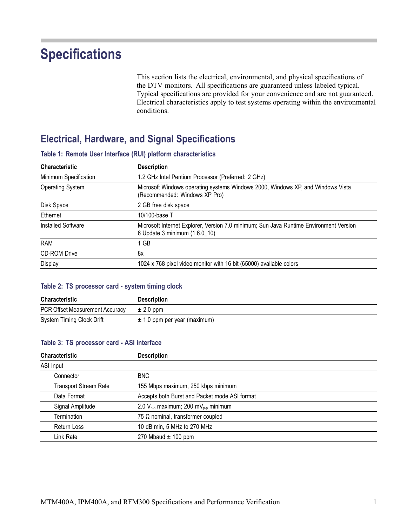## <span id="page-12-0"></span>**Specifications**

This section lists the electrical, environmental, and physical specifications of the DTV monitors. All specifications are guaranteed unless labeled typical. Typical specifications are provided for your convenience and are not guaranteed. Electrical characteristics apply to test systems operating within the environmental conditions.

### **Electrical, Hardware, and Signal Specifications**

| <b>Description</b>                                                                                                      |  |  |  |
|-------------------------------------------------------------------------------------------------------------------------|--|--|--|
| 1.2 GHz Intel Pentium Processor (Preferred: 2 GHz)                                                                      |  |  |  |
| Microsoft Windows operating systems Windows 2000, Windows XP, and Windows Vista<br>(Recommended: Windows XP Pro)        |  |  |  |
| 2 GB free disk space                                                                                                    |  |  |  |
| 10/100-base T                                                                                                           |  |  |  |
| Microsoft Internet Explorer, Version 7.0 minimum; Sun Java Runtime Environment Version<br>6 Update 3 minimum (1.6.0_10) |  |  |  |
| 1 GB                                                                                                                    |  |  |  |
| 8x                                                                                                                      |  |  |  |
| 1024 x 768 pixel video monitor with 16 bit (65000) available colors                                                     |  |  |  |
|                                                                                                                         |  |  |  |

#### **Table 1: Remote User Interface (RUI) platform characteristics**

#### **Table 2: TS processor card - system timing clock**

| Characteristic                  | <b>Description</b>               |
|---------------------------------|----------------------------------|
| PCR Offset Measurement Accuracy | $\pm$ 2.0 ppm                    |
| System Timing Clock Drift       | $\pm$ 1.0 ppm per year (maximum) |

#### **Table 3: TS processor card - ASI interface**

| <b>Characteristic</b>        | <b>Description</b>                             |  |
|------------------------------|------------------------------------------------|--|
| ASI Input                    |                                                |  |
| Connector                    | <b>BNC</b>                                     |  |
| <b>Transport Stream Rate</b> | 155 Mbps maximum, 250 kbps minimum             |  |
| Data Format                  | Accepts both Burst and Packet mode ASI format  |  |
| Signal Amplitude             | 2.0 $V_{p-p}$ maximum; 200 m $V_{p-p}$ minimum |  |
| Termination                  | 75 $\Omega$ nominal, transformer coupled       |  |
| <b>Return Loss</b>           | 10 dB min, 5 MHz to 270 MHz                    |  |
| Link Rate                    | 270 Mbaud $\pm$ 100 ppm                        |  |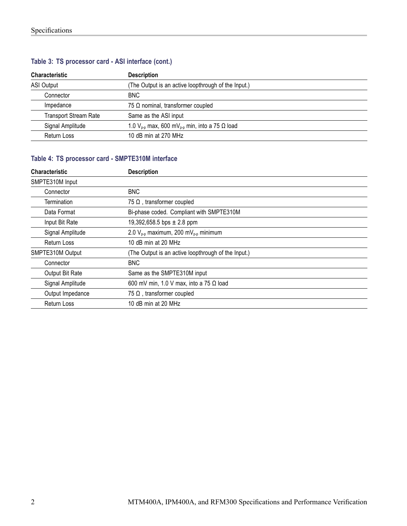| <b>Characteristic</b>        | <b>Description</b>                                                    |  |  |
|------------------------------|-----------------------------------------------------------------------|--|--|
| <b>ASI Output</b>            | (The Output is an active loopthrough of the Input.)                   |  |  |
| Connector                    | BNC.                                                                  |  |  |
| Impedance                    | 75 $\Omega$ nominal, transformer coupled                              |  |  |
| <b>Transport Stream Rate</b> | Same as the ASI input                                                 |  |  |
| Signal Amplitude             | 1.0 $V_{p-p}$ max, 600 mV <sub>p-p</sub> min, into a 75 $\Omega$ load |  |  |
| <b>Return Loss</b>           | 10 dB min at 270 MHz                                                  |  |  |

#### <span id="page-13-0"></span>**Table 3: TS processor card - ASI interface (cont.)**

#### **Table 4: TS processor card - SMPTE310M interface**

| <b>Characteristic</b> | <b>Description</b>                                  |  |  |  |
|-----------------------|-----------------------------------------------------|--|--|--|
| SMPTE310M Input       |                                                     |  |  |  |
| Connector             | <b>BNC</b>                                          |  |  |  |
| Termination           | 75 $\Omega$ , transformer coupled                   |  |  |  |
| Data Format           | Bi-phase coded. Compliant with SMPTE310M            |  |  |  |
| Input Bit Rate        | 19,392,658.5 bps $\pm$ 2.8 ppm                      |  |  |  |
| Signal Amplitude      | 2.0 $V_{p-p}$ maximum, 200 m $V_{p-p}$ minimum      |  |  |  |
| Return Loss           | 10 dB min at 20 MHz                                 |  |  |  |
| SMPTE310M Output      | (The Output is an active loopthrough of the Input.) |  |  |  |
| Connector             | <b>BNC</b>                                          |  |  |  |
| Output Bit Rate       | Same as the SMPTE310M input                         |  |  |  |
| Signal Amplitude      | 600 mV min, 1.0 V max, into a 75 $\Omega$ load      |  |  |  |
| Output Impedance      | 75 $\Omega$ , transformer coupled                   |  |  |  |
| <b>Return Loss</b>    | 10 dB min at 20 MHz                                 |  |  |  |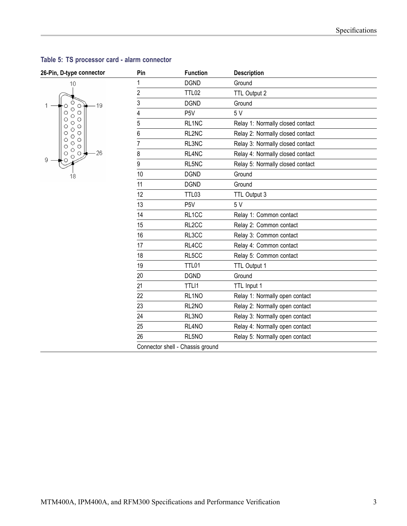| zo-riii, p-type connector                               |  |  |  |
|---------------------------------------------------------|--|--|--|
| 10<br>19<br>C.<br>П<br>0000<br>$\frac{1}{2}$<br>$\circ$ |  |  |  |
| 000000<br>o<br>O<br>С<br>Γ<br>26<br>9<br>18             |  |  |  |

| 26-Pin, D-type connector                | Pin            | <b>Function</b>                  | <b>Description</b>               |
|-----------------------------------------|----------------|----------------------------------|----------------------------------|
| 10                                      |                | <b>DGND</b>                      | Ground                           |
|                                         | $\overline{c}$ | <b>TTL02</b>                     | TTL Output 2                     |
| О<br>19<br>$\circ$                      | 3              | <b>DGND</b>                      | Ground                           |
| O<br>$\circ$<br>О<br>O                  | 4              | P <sub>5</sub> V                 | 5 V                              |
| O<br>O<br>$\circ$<br>o                  | 5              | RL1NC                            | Relay 1: Normally closed contact |
| О<br>O<br>O<br>0                        | 6              | RL2NC                            | Relay 2: Normally closed contact |
| $\circ$<br>O<br>O<br>$\circ$<br>$\circ$ |                | RL3NC                            | Relay 3: Normally closed contact |
| Ο<br>$-26$<br>Ō<br>$\circ$<br>$\circ$   | 8              | RL4NC                            | Relay 4: Normally closed contact |
| О                                       | 9              | RL5NC                            | Relay 5: Normally closed contact |
| 18                                      | 10             | <b>DGND</b>                      | Ground                           |
|                                         | 11             | <b>DGND</b>                      | Ground                           |
|                                         | 12             | TTL03                            | TTL Output 3                     |
|                                         | 13             | P <sub>5</sub> V                 | 5 V                              |
|                                         | 14             | RL1CC                            | Relay 1: Common contact          |
|                                         | 15             | RL <sub>2</sub> CC               | Relay 2: Common contact          |
|                                         | 16             | RL3CC                            | Relay 3: Common contact          |
|                                         | 17             | RL4CC                            | Relay 4: Common contact          |
|                                         | 18             | RL5CC                            | Relay 5: Common contact          |
|                                         | 19             | TTL01                            | TTL Output 1                     |
|                                         | 20             | <b>DGND</b>                      | Ground                           |
|                                         | 21             | TTLI1                            | TTL Input 1                      |
|                                         | 22             | RL1NO                            | Relay 1: Normally open contact   |
|                                         | 23             | RL2NO                            | Relay 2: Normally open contact   |
|                                         | 24             | RL3NO                            | Relay 3: Normally open contact   |
|                                         | 25             | RL4NO                            | Relay 4: Normally open contact   |
|                                         | 26             | RL5NO                            | Relay 5: Normally open contact   |
|                                         |                | Connector shell - Chassis ground |                                  |

#### <span id="page-14-0"></span>**Table 5: TS processor card - alarm connector**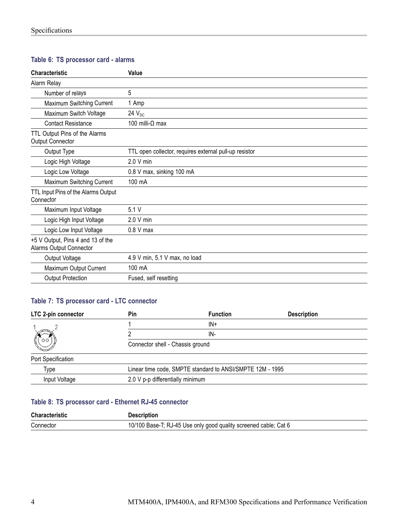#### <span id="page-15-0"></span>**Table 6: TS processor card - alarms**

| <b>Characteristic</b>                                        | Value                                                  |
|--------------------------------------------------------------|--------------------------------------------------------|
| Alarm Relay                                                  |                                                        |
| Number of relays                                             | 5                                                      |
| Maximum Switching Current                                    | 1 Amp                                                  |
| Maximum Switch Voltage                                       | 24 $V_{DC}$                                            |
| <b>Contact Resistance</b>                                    | 100 milli- $\Omega$ max                                |
| TTL Output Pins of the Alarms<br><b>Output Connector</b>     |                                                        |
| Output Type                                                  | TTL open collector, requires external pull-up resistor |
| Logic High Voltage                                           | 2.0 V min                                              |
| Logic Low Voltage                                            | 0.8 V max, sinking 100 mA                              |
| Maximum Switching Current                                    | 100 mA                                                 |
| TTL Input Pins of the Alarms Output<br>Connector             |                                                        |
| Maximum Input Voltage                                        | 5.1V                                                   |
| Logic High Input Voltage                                     | 2.0 V min                                              |
| Logic Low Input Voltage                                      | $0.8$ V max                                            |
| +5 V Output, Pins 4 and 13 of the<br>Alarms Output Connector |                                                        |
| Output Voltage                                               | 4.9 V min, 5.1 V max, no load                          |
| Maximum Output Current                                       | 100 mA                                                 |
| <b>Output Protection</b>                                     | Fused, self resetting                                  |

#### **Table 7: TS processor card - LTC connector**

| LTC 2-pin connector | Pin                              | <b>Function</b>                                           | <b>Description</b> |
|---------------------|----------------------------------|-----------------------------------------------------------|--------------------|
| oс                  |                                  | $IN+$                                                     |                    |
|                     |                                  | IN-                                                       |                    |
|                     | Connector shell - Chassis ground |                                                           |                    |
| Port Specification  |                                  |                                                           |                    |
| Type                |                                  | Linear time code, SMPTE standard to ANSI/SMPTE 12M - 1995 |                    |
| Input Voltage       | 2.0 V p-p differentially minimum |                                                           |                    |

#### **Table 8: TS processor card - Ethernet RJ-45 connector**

| Characteristic | <b>Description</b>                                               |
|----------------|------------------------------------------------------------------|
| Connector      | 10/100 Base-T; RJ-45 Use only good quality screened cable; Cat 6 |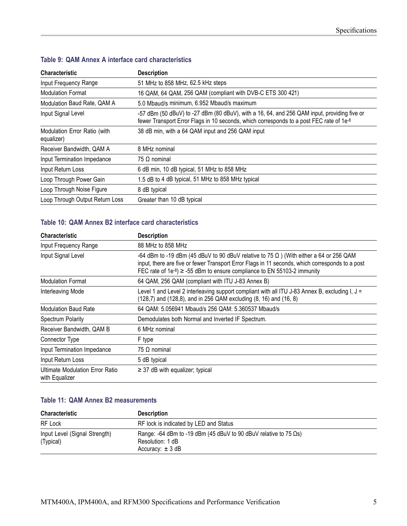| <b>Characteristic</b>                      | <b>Description</b>                                                                                                                                                                     |
|--------------------------------------------|----------------------------------------------------------------------------------------------------------------------------------------------------------------------------------------|
| Input Frequency Range                      | 51 MHz to 858 MHz, 62.5 kHz steps                                                                                                                                                      |
| <b>Modulation Format</b>                   | 16 QAM, 64 QAM, 256 QAM (compliant with DVB-C ETS 300 421)                                                                                                                             |
| Modulation Baud Rate, QAM A                | 5.0 Mbaud/s minimum, 6.952 Mbaud/s maximum                                                                                                                                             |
| Input Signal Level                         | -57 dBm (50 dBuV) to -27 dBm (80 dBuV), with a 16, 64, and 256 QAM input, providing five or<br>fewer Transport Error Flags in 10 seconds, which corresponds to a post FEC rate of 1e-8 |
| Modulation Error Ratio (with<br>equalizer) | 38 dB min, with a 64 QAM input and 256 QAM input                                                                                                                                       |
| Receiver Bandwidth, QAM A                  | 8 MHz nominal                                                                                                                                                                          |
| Input Termination Impedance                | 75 $\Omega$ nominal                                                                                                                                                                    |
| Input Return Loss                          | 6 dB min, 10 dB typical, 51 MHz to 858 MHz                                                                                                                                             |
| Loop Through Power Gain                    | 1.5 dB to 4 dB typical, 51 MHz to 858 MHz typical                                                                                                                                      |
| Loop Through Noise Figure                  | 8 dB typical                                                                                                                                                                           |
| Loop Through Output Return Loss            | Greater than 10 dB typical                                                                                                                                                             |

#### <span id="page-16-0"></span>**Table 9: QAM Annex A interface card characteristics**

#### **Table 10: QAM Annex B2 interface card characteristics**

| <b>Characteristic</b>                             | <b>Description</b>                                                                                                                                                                                                                                                                    |
|---------------------------------------------------|---------------------------------------------------------------------------------------------------------------------------------------------------------------------------------------------------------------------------------------------------------------------------------------|
| Input Frequency Range                             | 88 MHz to 858 MHz                                                                                                                                                                                                                                                                     |
| Input Signal Level                                | -64 dBm to -19 dBm (45 dBuV to 90 dBuV relative to 75 $\Omega$ ) (With either a 64 or 256 QAM<br>input, there are five or fewer Transport Error Flags in 11 seconds, which corresponds to a post<br>FEC rate of $1e^{-8}$ ) $\ge$ -55 dBm to ensure compliance to EN 55103-2 immunity |
| <b>Modulation Format</b>                          | 64 QAM, 256 QAM (compliant with ITU J-83 Annex B)                                                                                                                                                                                                                                     |
| Interleaving Mode                                 | Level 1 and Level 2 interleaving support compliant with all ITU J-83 Annex B, excluding I, $J =$<br>(128,7) and (128,8), and in 256 QAM excluding (8, 16) and (16, 8)                                                                                                                 |
| <b>Modulation Baud Rate</b>                       | 64 QAM: 5.056941 Mbaud/s 256 QAM: 5.360537 Mbaud/s                                                                                                                                                                                                                                    |
| Spectrum Polarity                                 | Demodulates both Normal and Inverted IF Spectrum.                                                                                                                                                                                                                                     |
| Receiver Bandwidth, QAM B                         | 6 MHz nominal                                                                                                                                                                                                                                                                         |
| Connector Type                                    | F type                                                                                                                                                                                                                                                                                |
| Input Termination Impedance                       | 75 $\Omega$ nominal                                                                                                                                                                                                                                                                   |
| Input Return Loss                                 | 5 dB typical                                                                                                                                                                                                                                                                          |
| Ultimate Modulation Error Ratio<br>with Equalizer | $\geq$ 37 dB with equalizer; typical                                                                                                                                                                                                                                                  |

#### **Table 11: QAM Annex B2 measurements**

| <b>Characteristic</b>                      | <b>Description</b>                                                                                                   |
|--------------------------------------------|----------------------------------------------------------------------------------------------------------------------|
| RF Lock                                    | RF lock is indicated by LED and Status                                                                               |
| Input Level (Signal Strength)<br>(Typical) | Range: -64 dBm to -19 dBm (45 dBuV to 90 dBuV relative to 75 $\Omega$ s)<br>Resolution: 1 dB<br>Accuracy: $\pm$ 3 dB |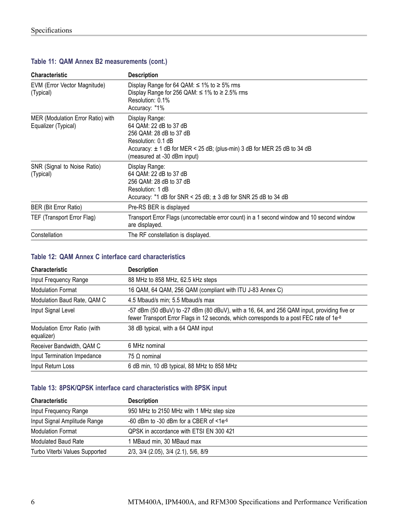| <b>Characteristic</b>                                    | <b>Description</b>                                                                                                                                                                                       |
|----------------------------------------------------------|----------------------------------------------------------------------------------------------------------------------------------------------------------------------------------------------------------|
| EVM (Error Vector Magnitude)<br>(Typical)                | Display Range for 64 QAM: $\leq$ 1% to $\geq$ 5% rms<br>Display Range for 256 QAM: $\leq$ 1% to $\geq$ 2.5% rms<br>Resolution: 0.1%<br>Accuracy: "1%                                                     |
| MER (Modulation Error Ratio) with<br>Equalizer (Typical) | Display Range:<br>64 QAM: 22 dB to 37 dB<br>256 QAM: 28 dB to 37 dB<br>Resolution: 0.1 dB<br>Accuracy: $\pm$ 1 dB for MER < 25 dB; (plus-min) 3 dB for MER 25 dB to 34 dB<br>(measured at -30 dBm input) |
| SNR (Signal to Noise Ratio)<br>(Typical)                 | Display Range:<br>64 QAM: 22 dB to 37 dB<br>256 QAM: 28 dB to 37 dB<br>Resolution: 1 dB<br>Accuracy: "1 dB for SNR < 25 dB; $\pm$ 3 dB for SNR 25 dB to 34 dB                                            |
| BER (Bit Error Ratio)                                    | Pre-RS BER is displayed                                                                                                                                                                                  |
| TEF (Transport Error Flag)                               | Transport Error Flags (uncorrectable error count) in a 1 second window and 10 second window<br>are displayed.                                                                                            |
| Constellation                                            | The RF constellation is displayed.                                                                                                                                                                       |

#### <span id="page-17-0"></span>**Table 11: QAM Annex B2 measurements (cont.)**

#### **Table 12: QAM Annex C interface card characteristics**

| <b>Characteristic</b>                      | <b>Description</b>                                                                                                                                                                     |
|--------------------------------------------|----------------------------------------------------------------------------------------------------------------------------------------------------------------------------------------|
| Input Frequency Range                      | 88 MHz to 858 MHz, 62.5 kHz steps                                                                                                                                                      |
| <b>Modulation Format</b>                   | 16 QAM, 64 QAM, 256 QAM (compliant with ITU J-83 Annex C)                                                                                                                              |
| Modulation Baud Rate, QAM C                | 4.5 Mbaud/s min; 5.5 Mbaud/s max                                                                                                                                                       |
| Input Signal Level                         | -57 dBm (50 dBuV) to -27 dBm (80 dBuV), with a 16, 64, and 256 QAM input, providing five or<br>fewer Transport Error Flags in 12 seconds, which corresponds to a post FEC rate of 1e-8 |
| Modulation Error Ratio (with<br>equalizer) | 38 dB typical, with a 64 QAM input                                                                                                                                                     |
| Receiver Bandwidth, QAM C                  | 6 MHz nominal                                                                                                                                                                          |
| Input Termination Impedance                | 75 Ω nominal                                                                                                                                                                           |
| Input Return Loss                          | 6 dB min, 10 dB typical, 88 MHz to 858 MHz                                                                                                                                             |

#### **Table 13: 8PSK/QPSK interface card characteristics with 8PSK input**

| <b>Characteristic</b>          | <b>Description</b>                          |
|--------------------------------|---------------------------------------------|
| Input Frequency Range          | 950 MHz to 2150 MHz with 1 MHz step size    |
| Input Signal Amplitude Range   | -60 dBm to -30 dBm for a CBER of $<1e^{-6}$ |
| <b>Modulation Format</b>       | QPSK in accordance with ETSI EN 300 421     |
| <b>Modulated Baud Rate</b>     | 1 MBaud min, 30 MBaud max                   |
| Turbo Viterbi Values Supported | 2/3, 3/4 (2.05), 3/4 (2.1), 5/6, 8/9        |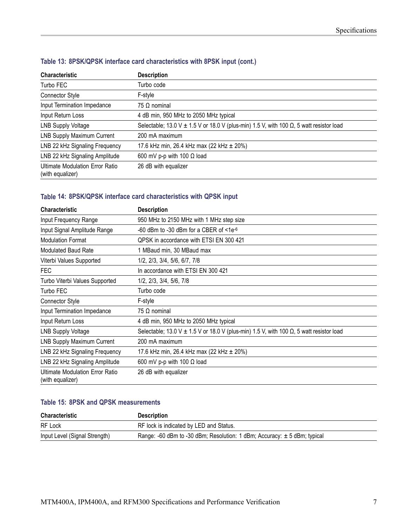| <b>Characteristic</b>                               | <b>Description</b>                                                                                  |
|-----------------------------------------------------|-----------------------------------------------------------------------------------------------------|
| Turbo FEC                                           | Turbo code                                                                                          |
| <b>Connector Style</b>                              | F-style                                                                                             |
| Input Termination Impedance                         | 75 $\Omega$ nominal                                                                                 |
| Input Return Loss                                   | 4 dB min, 950 MHz to 2050 MHz typical                                                               |
| <b>LNB Supply Voltage</b>                           | Selectable; 13.0 V $\pm$ 1.5 V or 18.0 V (plus-min) 1.5 V, with 100 $\Omega$ , 5 watt resistor load |
| <b>LNB Supply Maximum Current</b>                   | 200 mA maximum                                                                                      |
| LNB 22 kHz Signaling Frequency                      | 17.6 kHz min, 26.4 kHz max (22 kHz $\pm$ 20%)                                                       |
| LNB 22 kHz Signaling Amplitude                      | 600 mV p-p with 100 $\Omega$ load                                                                   |
| Ultimate Modulation Error Ratio<br>(with equalizer) | 26 dB with equalizer                                                                                |

#### <span id="page-18-0"></span>**Table 13: 8PSK/QPSK interface card characteristics with 8PSK input (cont.)**

#### **Table 14: 8PSK/QPSK interface card characteristics with QPSK input**

| <b>Characteristic</b>                                      | <b>Description</b>                                                                                  |
|------------------------------------------------------------|-----------------------------------------------------------------------------------------------------|
| Input Frequency Range                                      | 950 MHz to 2150 MHz with 1 MHz step size                                                            |
| Input Signal Amplitude Range                               | -60 dBm to -30 dBm for a CBER of $<1e^{-6}$                                                         |
| <b>Modulation Format</b>                                   | QPSK in accordance with ETSI EN 300 421                                                             |
| <b>Modulated Baud Rate</b>                                 | 1 MBaud min, 30 MBaud max                                                                           |
| Viterbi Values Supported                                   | 1/2, 2/3, 3/4, 5/6, 6/7, 7/8                                                                        |
| <b>FEC</b>                                                 | In accordance with ETSI EN 300 421                                                                  |
| Turbo Viterbi Values Supported                             | 1/2, 2/3, 3/4, 5/6, 7/8                                                                             |
| Turbo FEC                                                  | Turbo code                                                                                          |
| <b>Connector Style</b>                                     | F-style                                                                                             |
| Input Termination Impedance                                | $75 \Omega$ nominal                                                                                 |
| Input Return Loss                                          | 4 dB min, 950 MHz to 2050 MHz typical                                                               |
| <b>LNB Supply Voltage</b>                                  | Selectable; 13.0 V $\pm$ 1.5 V or 18.0 V (plus-min) 1.5 V, with 100 $\Omega$ , 5 watt resistor load |
| <b>LNB Supply Maximum Current</b>                          | 200 mA maximum                                                                                      |
| LNB 22 kHz Signaling Frequency                             | 17.6 kHz min, 26.4 kHz max (22 kHz $\pm$ 20%)                                                       |
| LNB 22 kHz Signaling Amplitude                             | 600 mV p-p with 100 $\Omega$ load                                                                   |
| <b>Ultimate Modulation Error Ratio</b><br>(with equalizer) | 26 dB with equalizer                                                                                |

#### **Table 15: 8PSK and QPSK measurements**

| <b>Characteristic</b>         | <b>Description</b>                                                           |
|-------------------------------|------------------------------------------------------------------------------|
| RF Lock                       | RF lock is indicated by LED and Status.                                      |
| Input Level (Signal Strength) | Range: -60 dBm to -30 dBm; Resolution: 1 dBm; Accuracy: $\pm$ 5 dBm; typical |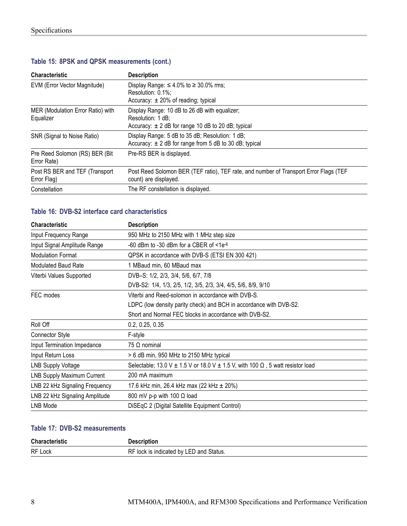| <b>Characteristic</b>                          | <b>Description</b>                                                                                                           |
|------------------------------------------------|------------------------------------------------------------------------------------------------------------------------------|
| EVM (Error Vector Magnitude)                   | Display Range: $\leq 4.0\%$ to $\geq 30.0\%$ rms;<br>Resolution: 0.1%:<br>Accuracy: $\pm$ 20% of reading; typical            |
| MER (Modulation Error Ratio) with<br>Equalizer | Display Range: 10 dB to 26 dB with equalizer;<br>Resolution: 1 dB:<br>Accuracy: $\pm 2$ dB for range 10 dB to 20 dB; typical |
| SNR (Signal to Noise Ratio)                    | Display Range: 5 dB to 35 dB; Resolution: 1 dB;<br>Accuracy: $\pm$ 2 dB for range from 5 dB to 30 dB; typical                |
| Pre Reed Solomon (RS) BER (Bit<br>Error Rate)  | Pre-RS BER is displayed.                                                                                                     |
| Post RS BER and TEF (Transport)<br>Error Flag) | Post Reed Solomon BER (TEF ratio), TEF rate, and number of Transport Error Flags (TEF<br>count) are displayed.               |
| Constellation                                  | The RF constellation is displayed.                                                                                           |

#### <span id="page-19-0"></span>**Table 15: 8PSK and QPSK measurements (cont.)**

#### **Table 16: DVB-S2 interface card characteristics**

| <b>Characteristic</b>             | <b>Description</b>                                                                             |
|-----------------------------------|------------------------------------------------------------------------------------------------|
| Input Frequency Range             | 950 MHz to 2150 MHz with 1 MHz step size                                                       |
| Input Signal Amplitude Range      | -60 dBm to -30 dBm for a CBER of $<1e^{-6}$                                                    |
| <b>Modulation Format</b>          | QPSK in accordance with DVB-S (ETSI EN 300 421)                                                |
| <b>Modulated Baud Rate</b>        | 1 MBaud min, 60 MBaud max                                                                      |
| Viterbi Values Supported          | DVB-S: 1/2, 2/3, 3/4, 5/6, 6/7, 7/8                                                            |
|                                   | DVB-S2: 1/4, 1/3, 2/5, 1/2, 3/5, 2/3, 3/4, 4/5, 5/6, 8/9, 9/10                                 |
| FEC modes                         | Viterbi and Reed-solomon in accordance with DVB-S.                                             |
|                                   | LDPC (low density parity check) and BCH in accordance with DVB-S2.                             |
|                                   | Short and Normal FEC blocks in accordance with DVB-S2.                                         |
| Roll Off                          | 0.2, 0.25, 0.35                                                                                |
| Connector Style                   | F-style                                                                                        |
| Input Termination Impedance       | 75 $\Omega$ nominal                                                                            |
| Input Return Loss                 | > 6 dB min, 950 MHz to 2150 MHz typical                                                        |
| <b>LNB Supply Voltage</b>         | Selectable; 13.0 V $\pm$ 1.5 V or 18.0 V $\pm$ 1.5 V, with 100 $\Omega$ , 5 watt resistor load |
| <b>LNB Supply Maximum Current</b> | 200 mA maximum                                                                                 |
| LNB 22 kHz Signaling Frequency    | 17.6 kHz min, 26.4 kHz max (22 kHz $\pm$ 20%)                                                  |
| LNB 22 kHz Signaling Amplitude    | 800 mV p-p with 100 $\Omega$ load                                                              |
| LNB Mode                          | DiSEqC 2 (Digital Satellite Equipment Control)                                                 |

#### **Table 17: DVB-S2 measurements**

| Characteristic |                                                 |
|----------------|-------------------------------------------------|
| RF Lock        | RF<br>I by LED and Status.<br>lock is indicated |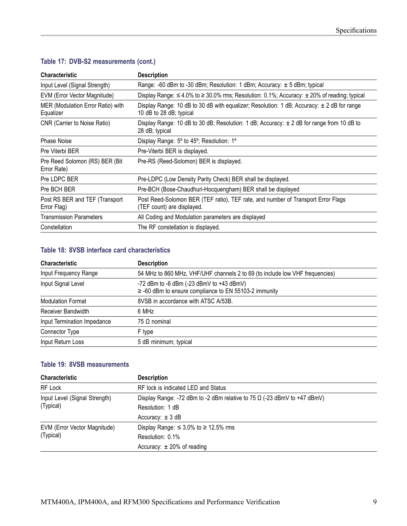| <b>Characteristic</b>                          | <b>Description</b>                                                                                                        |
|------------------------------------------------|---------------------------------------------------------------------------------------------------------------------------|
| Input Level (Signal Strength)                  | Range: -60 dBm to -30 dBm; Resolution: 1 dBm; Accuracy: $\pm$ 5 dBm; typical                                              |
| EVM (Error Vector Magnitude)                   | Display Range: $\leq 4.0\%$ to $\geq 30.0\%$ rms; Resolution: 0.1%; Accuracy: $\pm 20\%$ of reading; typical              |
| MER (Modulation Error Ratio) with<br>Equalizer | Display Range: 10 dB to 30 dB with equalizer; Resolution: 1 dB; Accuracy: $\pm$ 2 dB for range<br>10 dB to 28 dB; typical |
| CNR (Carrier to Noise Ratio)                   | Display Range: 10 dB to 30 dB; Resolution: 1 dB; Accuracy: $\pm$ 2 dB for range from 10 dB to<br>28 dB; typical           |
| <b>Phase Noise</b>                             | Display Range: 5° to 45°; Resolution: 1°                                                                                  |
| Pre Viterbi BER                                | Pre-Viterbi BER is displayed.                                                                                             |
| Pre Reed Solomon (RS) BER (Bit<br>Error Rate)  | Pre-RS (Reed-Solomon) BER is displayed.                                                                                   |
| Pre LDPC BER                                   | Pre-LDPC (Low Density Parity Check) BER shall be displayed.                                                               |
| Pre BCH BER                                    | Pre-BCH (Bose-Chaudhuri-Hocquengham) BER shall be displayed                                                               |
| Post RS BER and TEF (Transport<br>Error Flag)  | Post Reed-Solomon BER (TEF ratio), TEF rate, and number of Transport Error Flags<br>(TEF count) are displayed.            |
| <b>Transmission Parameters</b>                 | All Coding and Modulation parameters are displayed                                                                        |
| Constellation                                  | The RF constellation is displayed.                                                                                        |

#### <span id="page-20-0"></span>**Table 17: DVB-S2 measurements (cont.)**

#### **Table 18: 8VSB interface card characteristics**

| <b>Characteristic</b>       | <b>Description</b>                                                                                    |
|-----------------------------|-------------------------------------------------------------------------------------------------------|
| Input Frequency Range       | 54 MHz to 860 MHz, VHF/UHF channels 2 to 69 (to include low VHF frequencies)                          |
| Input Signal Level          | -72 dBm to -6 dBm (-23 dBmV to +43 dBmV)<br>$\ge$ -60 dBm to ensure compliance to EN 55103-2 immunity |
| <b>Modulation Format</b>    | 8VSB in accordance with ATSC A/53B.                                                                   |
| Receiver Bandwidth          | 6 MHz                                                                                                 |
| Input Termination Impedance | $75 \Omega$ nominal                                                                                   |
| Connector Type              | F type                                                                                                |
| Input Return Loss           | 5 dB minimum; typical                                                                                 |

#### **Table 19: 8VSB measurements**

| <b>Characteristic</b>                      | <b>Description</b>                                                              |
|--------------------------------------------|---------------------------------------------------------------------------------|
| RF Lock                                    | RF lock is indicated LED and Status                                             |
| Input Level (Signal Strength)<br>(Typical) | Display Range: -72 dBm to -2 dBm relative to 75 $\Omega$ (-23 dBmV to +47 dBmV) |
|                                            | Resolution: 1 dB                                                                |
|                                            | Accuracy: $\pm$ 3 dB                                                            |
| EVM (Error Vector Magnitude)<br>(Typical)  | Display Range: $\leq 3.0\%$ to $\geq 12.5\%$ rms                                |
|                                            | Resolution: 0.1%                                                                |
|                                            | Accuracy: $\pm$ 20% of reading                                                  |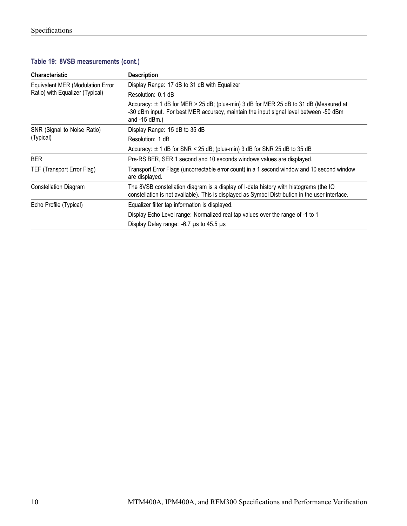#### **Table 19: 8VSB measurements (cont.)**

| <b>Characteristic</b>                                               | <b>Description</b>                                                                                                                                                                                    |
|---------------------------------------------------------------------|-------------------------------------------------------------------------------------------------------------------------------------------------------------------------------------------------------|
| Equivalent MER (Modulation Error<br>Ratio) with Equalizer (Typical) | Display Range: 17 dB to 31 dB with Equalizer                                                                                                                                                          |
|                                                                     | Resolution: 0.1 dB                                                                                                                                                                                    |
|                                                                     | Accuracy: $\pm$ 1 dB for MER > 25 dB; (plus-min) 3 dB for MER 25 dB to 31 dB (Measured at<br>-30 dBm input. For best MER accuracy, maintain the input signal level between -50 dBm<br>and $-15$ dBm.) |
| SNR (Signal to Noise Ratio)                                         | Display Range: 15 dB to 35 dB                                                                                                                                                                         |
| (Typical)                                                           | Resolution: 1 dB                                                                                                                                                                                      |
|                                                                     | Accuracy: $\pm$ 1 dB for SNR < 25 dB; (plus-min) 3 dB for SNR 25 dB to 35 dB                                                                                                                          |
| <b>BER</b>                                                          | Pre-RS BER, SER 1 second and 10 seconds windows values are displayed.                                                                                                                                 |
| TEF (Transport Error Flag)                                          | Transport Error Flags (uncorrectable error count) in a 1 second window and 10 second window<br>are displayed.                                                                                         |
| Constellation Diagram                                               | The 8VSB constellation diagram is a display of I-data history with histograms (the IQ<br>constellation is not available). This is displayed as Symbol Distribution in the user interface.             |
| Echo Profile (Typical)                                              | Equalizer filter tap information is displayed.                                                                                                                                                        |
|                                                                     | Display Echo Level range: Normalized real tap values over the range of -1 to 1                                                                                                                        |
|                                                                     | Display Delay range: $-6.7$ µs to 45.5 µs                                                                                                                                                             |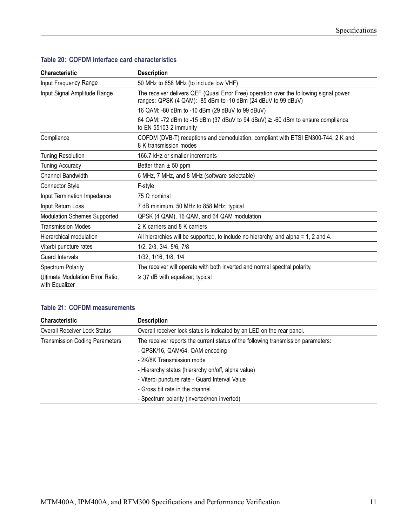| <b>Characteristic</b>                              | <b>Description</b>                                                                                                                                      |
|----------------------------------------------------|---------------------------------------------------------------------------------------------------------------------------------------------------------|
| Input Frequency Range                              | 50 MHz to 858 MHz (to include low VHF)                                                                                                                  |
| Input Signal Amplitude Range                       | The receiver delivers QEF (Quasi Error Free) operation over the following signal power<br>ranges: QPSK (4 QAM): -85 dBm to -10 dBm (24 dBuV to 99 dBuV) |
|                                                    | 16 QAM: -80 dBm to -10 dBm (29 dBuV to 99 dBuV)                                                                                                         |
|                                                    | 64 QAM: -72 dBm to -15 dBm (37 dBuV to 94 dBuV) ≥ -60 dBm to ensure compliance<br>to EN 55103-2 immunity                                                |
| Compliance                                         | COFDM (DVB-T) receptions and demodulation, compliant with ETSI EN300-744, 2 K and<br>8 K transmission modes                                             |
| <b>Tuning Resolution</b>                           | 166.7 kHz or smaller increments                                                                                                                         |
| <b>Tuning Accuracy</b>                             | Better than $\pm$ 50 ppm                                                                                                                                |
| <b>Channel Bandwidth</b>                           | 6 MHz, 7 MHz, and 8 MHz (software selectable)                                                                                                           |
| <b>Connector Style</b>                             | F-style                                                                                                                                                 |
| Input Termination Impedance                        | 75 $\Omega$ nominal                                                                                                                                     |
| Input Return Loss                                  | 7 dB minimum, 50 MHz to 858 MHz; typical                                                                                                                |
| <b>Modulation Schemes Supported</b>                | QPSK (4 QAM), 16 QAM, and 64 QAM modulation                                                                                                             |
| <b>Transmission Modes</b>                          | 2 K carriers and 8 K carriers                                                                                                                           |
| Hierarchical modulation                            | All hierarchies will be supported, to include no hierarchy, and alpha = 1, 2 and 4.                                                                     |
| Viterbi puncture rates                             | 1/2, 2/3, 3/4, 5/6, 7/8                                                                                                                                 |
| Guard Intervals                                    | 1/32, 1/16, 1/8, 1/4                                                                                                                                    |
| Spectrum Polarity                                  | The receiver will operate with both inverted and normal spectral polarity.                                                                              |
| Ultimate Modulation Error Ratio,<br>with Equalizer | $\geq$ 37 dB with equalizer; typical                                                                                                                    |

#### <span id="page-22-0"></span>**Table 20: COFDM interface card characteristics**

#### **Table 21: COFDM measurements**

| <b>Characteristic</b>                 | <b>Description</b>                                                                |
|---------------------------------------|-----------------------------------------------------------------------------------|
| <b>Overall Receiver Lock Status</b>   | Overall receiver lock status is indicated by an LED on the rear panel.            |
| <b>Transmission Coding Parameters</b> | The receiver reports the current status of the following transmission parameters: |
|                                       | - QPSK/16, QAM/64, QAM encoding                                                   |
|                                       | - 2K/8K Transmission mode                                                         |
|                                       | - Hierarchy status (hierarchy on/off, alpha value)                                |
|                                       | - Viterbi puncture rate - Guard Interval Value                                    |
|                                       | - Gross bit rate in the channel                                                   |
|                                       | - Spectrum polarity (inverted/non inverted)                                       |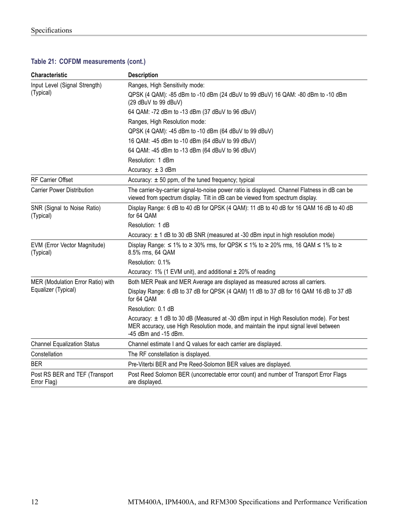#### **Table 21: COFDM measurements (cont.)**

| <b>Characteristic</b>                         | <b>Description</b>                                                                                                                                                                                         |
|-----------------------------------------------|------------------------------------------------------------------------------------------------------------------------------------------------------------------------------------------------------------|
| Input Level (Signal Strength)<br>(Typical)    | Ranges, High Sensitivity mode:                                                                                                                                                                             |
|                                               | QPSK (4 QAM): -85 dBm to -10 dBm (24 dBuV to 99 dBuV) 16 QAM: -80 dBm to -10 dBm<br>(29 dBuV to 99 dBuV)                                                                                                   |
|                                               | 64 QAM: -72 dBm to -13 dBm (37 dBuV to 96 dBuV)                                                                                                                                                            |
|                                               | Ranges, High Resolution mode:                                                                                                                                                                              |
|                                               | QPSK (4 QAM): -45 dBm to -10 dBm (64 dBuV to 99 dBuV)                                                                                                                                                      |
|                                               | 16 QAM: -45 dBm to -10 dBm (64 dBuV to 99 dBuV)                                                                                                                                                            |
|                                               | 64 QAM: -45 dBm to -13 dBm (64 dBuV to 96 dBuV)                                                                                                                                                            |
|                                               | Resolution: 1 dBm                                                                                                                                                                                          |
|                                               | Accuracy: $\pm 3$ dBm                                                                                                                                                                                      |
| <b>RF Carrier Offset</b>                      | Accuracy: $\pm$ 50 ppm, of the tuned frequency; typical                                                                                                                                                    |
| <b>Carrier Power Distribution</b>             | The carrier-by-carrier signal-to-noise power ratio is displayed. Channel Flatness in dB can be<br>viewed from spectrum display. Tilt in dB can be viewed from spectrum display.                            |
| SNR (Signal to Noise Ratio)<br>(Typical)      | Display Range: 6 dB to 40 dB for QPSK (4 QAM): 11 dB to 40 dB for 16 QAM 16 dB to 40 dB<br>for 64 QAM                                                                                                      |
|                                               | Resolution: 1 dB                                                                                                                                                                                           |
|                                               | Accuracy: $\pm$ 1 dB to 30 dB SNR (measured at -30 dBm input in high resolution mode)                                                                                                                      |
| EVM (Error Vector Magnitude)<br>(Typical)     | Display Range: $\leq$ 1% to $\geq$ 30% rms, for QPSK $\leq$ 1% to $\geq$ 20% rms, 16 QAM $\leq$ 1% to $\geq$<br>8.5% rms, 64 QAM                                                                           |
|                                               | Resolution: 0.1%                                                                                                                                                                                           |
|                                               | Accuracy: 1% (1 EVM unit), and additional $\pm$ 20% of reading                                                                                                                                             |
| MER (Modulation Error Ratio) with             | Both MER Peak and MER Average are displayed as measured across all carriers.                                                                                                                               |
| Equalizer (Typical)                           | Display Range: 6 dB to 37 dB for QPSK (4 QAM) 11 dB to 37 dB for 16 QAM 16 dB to 37 dB<br>for 64 QAM                                                                                                       |
|                                               | Resolution: 0.1 dB                                                                                                                                                                                         |
|                                               | Accuracy: $\pm$ 1 dB to 30 dB (Measured at -30 dBm input in High Resolution mode). For best<br>MER accuracy, use High Resolution mode, and maintain the input signal level between<br>-45 dBm and -15 dBm. |
| <b>Channel Equalization Status</b>            | Channel estimate I and Q values for each carrier are displayed.                                                                                                                                            |
| Constellation                                 | The RF constellation is displayed.                                                                                                                                                                         |
| <b>BER</b>                                    | Pre-Viterbi BER and Pre Reed-Solomon BER values are displayed.                                                                                                                                             |
| Post RS BER and TEF (Transport<br>Error Flag) | Post Reed Solomon BER (uncorrectable error count) and number of Transport Error Flags<br>are displayed.                                                                                                    |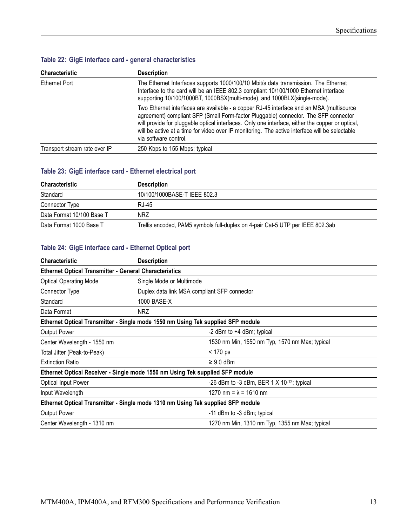### <span id="page-24-0"></span>**Table 22: GigE interface card - general characteristics**

| <b>Characteristic</b>         | <b>Description</b>                                                                                                                                                                                                                                                                                                                                                                                             |
|-------------------------------|----------------------------------------------------------------------------------------------------------------------------------------------------------------------------------------------------------------------------------------------------------------------------------------------------------------------------------------------------------------------------------------------------------------|
| Ethernet Port                 | The Ethernet Interfaces supports 1000/100/10 Mbit/s data transmission. The Ethernet<br>Interface to the card will be an IEEE 802.3 compliant 10/100/1000 Ethernet interface<br>supporting 10/100/1000BT, 1000BSX(multi-mode), and 1000BLX(single-mode).                                                                                                                                                        |
|                               | Two Ethernet interfaces are available - a copper RJ-45 interface and an MSA (multisource<br>agreement) compliant SFP (Small Form-factor Pluggable) connector. The SFP connector<br>will provide for pluggable optical interfaces. Only one interface, either the copper or optical,<br>will be active at a time for video over IP monitoring. The active interface will be selectable<br>via software control. |
| Transport stream rate over IP | 250 Kbps to 155 Mbps; typical                                                                                                                                                                                                                                                                                                                                                                                  |

#### **Table 23: GigE interface card - Ethernet electrical port**

| <b>Characteristic</b>     | <b>Description</b>                                                             |
|---------------------------|--------------------------------------------------------------------------------|
| Standard                  | 10/100/1000BASE-T IEEE 802.3                                                   |
| Connector Type            | RJ-45                                                                          |
| Data Format 10/100 Base T | <b>NRZ</b>                                                                     |
| Data Format 1000 Base T   | Trellis encoded, PAM5 symbols full-duplex on 4-pair Cat-5 UTP per IEEE 802.3ab |

#### **Table 24: GigE interface card - Ethernet Optical port**

| <b>Characteristic</b>                                         | <b>Description</b>                                                               |  |  |
|---------------------------------------------------------------|----------------------------------------------------------------------------------|--|--|
| <b>Ethernet Optical Transmitter - General Characteristics</b> |                                                                                  |  |  |
| <b>Optical Operating Mode</b>                                 | Single Mode or Multimode                                                         |  |  |
| Connector Type                                                | Duplex data link MSA compliant SFP connector                                     |  |  |
| Standard                                                      | 1000 BASE-X                                                                      |  |  |
| Data Format                                                   | <b>NRZ</b>                                                                       |  |  |
|                                                               | Ethernet Optical Transmitter - Single mode 1550 nm Using Tek supplied SFP module |  |  |
| Output Power                                                  | -2 dBm to +4 dBm; typical                                                        |  |  |
| Center Wavelength - 1550 nm                                   | 1530 nm Min, 1550 nm Typ, 1570 nm Max; typical                                   |  |  |
| Total Jitter (Peak-to-Peak)                                   | < 170 ps                                                                         |  |  |
| <b>Extinction Ratio</b>                                       | $\geq 9.0$ dBm                                                                   |  |  |
|                                                               | Ethernet Optical Receiver - Single mode 1550 nm Using Tek supplied SFP module    |  |  |
| <b>Optical Input Power</b>                                    | -26 dBm to -3 dBm, BER 1 $\times$ 10-12; typical                                 |  |  |
| Input Wavelength                                              | 1270 nm = $\lambda$ = 1610 nm                                                    |  |  |
|                                                               | Ethernet Optical Transmitter - Single mode 1310 nm Using Tek supplied SFP module |  |  |
| Output Power                                                  | -11 dBm to -3 dBm; typical                                                       |  |  |
| Center Wavelength - 1310 nm                                   | 1270 nm Min, 1310 nm Typ, 1355 nm Max; typical                                   |  |  |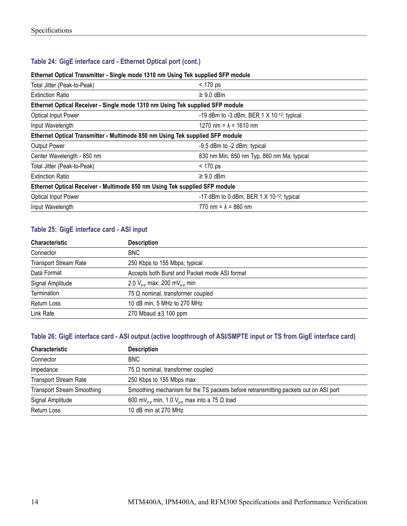#### <span id="page-25-0"></span>**Table 24: GigE interface card - Ethernet Optical port (cont.)**

#### **Ethernet Optical Transmitter - Single mode 1310 nm Using Tek supplied SFP module**

| Total Jitter (Peak-to-Peak)                                                   | $< 170$ ps                                  |  |
|-------------------------------------------------------------------------------|---------------------------------------------|--|
| <b>Extinction Ratio</b>                                                       | $\geq 9.0$ dBm                              |  |
| Ethernet Optical Receiver - Single mode 1310 nm Using Tek supplied SFP module |                                             |  |
| <b>Optical Input Power</b>                                                    | -19 dBm to -3 dBm, BER 1 $X$ 10-12; typical |  |
| Input Wavelength                                                              | 1270 nm = $\lambda$ = 1610 nm               |  |
| Ethernet Optical Transmitter - Multimode 850 nm Using Tek supplied SFP module |                                             |  |
| Output Power                                                                  | -9.5 dBm to -2 dBm; typical                 |  |
| Center Wavelength - 850 nm                                                    | 830 nm Min, 850 nm Typ, 860 nm Ma; typical  |  |
| Total Jitter (Peak-to-Peak)                                                   | < 170 ps                                    |  |
| <b>Extinction Ratio</b>                                                       | $\geq 9.0$ dBm                              |  |
| Ethernet Optical Receiver - Multimode 850 nm Using Tek supplied SFP module    |                                             |  |
| <b>Optical Input Power</b>                                                    | -17 dBm to 0 dBm, BER 1 $X$ 10-12; typical  |  |
| Input Wavelength                                                              | 770 nm = $\lambda$ = 860 nm                 |  |

#### **Table 25: GigE interface card - ASI input**

| <b>Characteristic</b>        | <b>Description</b>                            |
|------------------------------|-----------------------------------------------|
| Connector                    | <b>BNC</b>                                    |
| <b>Transport Stream Rate</b> | 250 Kbps to 155 Mbps; typical                 |
| Data Format                  | Accepts both Burst and Packet mode ASI format |
| Signal Amplitude             | 2.0 $V_{p-p}$ max; 200 m $V_{p-p}$ min        |
| Termination                  | 75 $\Omega$ nominal, transformer coupled      |
| Return Loss                  | 10 dB min, 5 MHz to 270 MHz                   |
| Link Rate                    | 270 Mbaud $\pm 3$ 100 ppm                     |

#### **Table 26: GigE interface card - ASI output (active loopthrough of ASI/SMPTE input or TS from GigE interface card)**

| Characteristic                    | <b>Description</b>                                                                   |
|-----------------------------------|--------------------------------------------------------------------------------------|
| Connector                         | <b>BNC</b>                                                                           |
| Impedance                         | 75 $\Omega$ nominal, transformer coupled                                             |
| <b>Transport Stream Rate</b>      | 250 Kbps to 155 Mbps max                                                             |
| <b>Transport Stream Smoothing</b> | Smoothing mechanism for the TS packets before retransmitting packets out on ASI port |
| Signal Amplitude                  | 600 mV <sub>p-p</sub> min, 1.0 V <sub>p-p</sub> max into a 75 $\Omega$ load          |
| Return Loss                       | 10 dB min at 270 MHz                                                                 |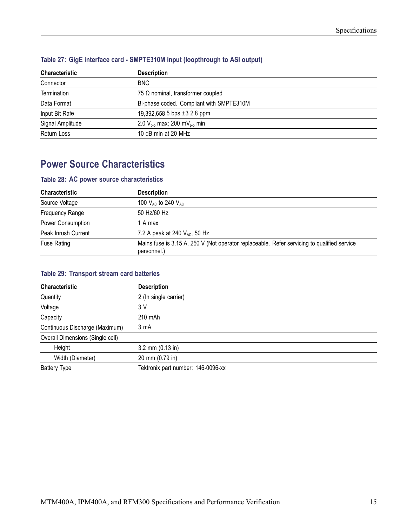| <b>Characteristic</b> | <b>Description</b>                       |
|-----------------------|------------------------------------------|
| Connector             | <b>BNC</b>                               |
| Termination           | 75 $\Omega$ nominal, transformer coupled |
| Data Format           | Bi-phase coded. Compliant with SMPTE310M |
| Input Bit Rate        | 19,392,658.5 bps $\pm 3$ 2.8 ppm         |
| Signal Amplitude      | 2.0 $V_{p-p}$ max; 200 m $V_{p-p}$ min   |
| Return Loss           | 10 dB min at 20 MHz                      |

#### <span id="page-26-0"></span>**Table 27: GigE interface card - SMPTE310M input (loopthrough to ASI output)**

### **Power Source Characteristics**

#### **Table 28: AC power source characteristics**

| <b>Characteristic</b>  | <b>Description</b>                                                                                         |
|------------------------|------------------------------------------------------------------------------------------------------------|
| Source Voltage         | 100 $V_{AC}$ to 240 $V_{AC}$                                                                               |
| <b>Frequency Range</b> | 50 Hz/60 Hz                                                                                                |
| Power Consumption      | 1 A max                                                                                                    |
| Peak Inrush Current    | 7.2 A peak at 240 V <sub>AC</sub> , 50 Hz                                                                  |
| <b>Fuse Rating</b>     | Mains fuse is 3.15 A, 250 V (Not operator replaceable. Refer servicing to qualified service<br>personnel.) |

#### **Table 29: Transport stream card batteries**

| Characteristic                   | <b>Description</b>                 |
|----------------------------------|------------------------------------|
| Quantity                         | 2 (In single carrier)              |
| Voltage                          | 3 V                                |
| Capacity                         | 210 mAh                            |
| Continuous Discharge (Maximum)   | 3 <sub>m</sub> A                   |
| Overall Dimensions (Single cell) |                                    |
| Height                           | $3.2$ mm $(0.13$ in)               |
| Width (Diameter)                 | 20 mm (0.79 in)                    |
| <b>Battery Type</b>              | Tektronix part number: 146-0096-xx |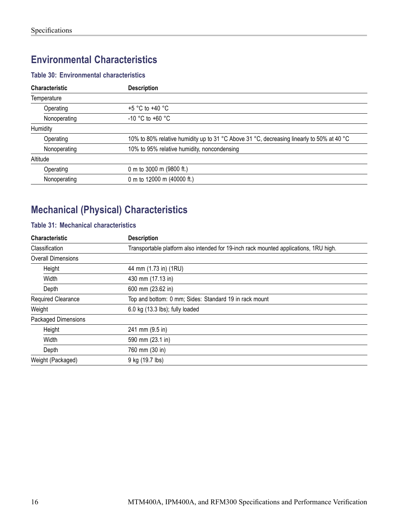### <span id="page-27-0"></span>**Environmental Characteristics**

#### **Table 30: Environmental characteristics**

| <b>Characteristic</b> | <b>Description</b>                                                                        |
|-----------------------|-------------------------------------------------------------------------------------------|
| Temperature           |                                                                                           |
| Operating             | $+5$ °C to +40 °C                                                                         |
| Nonoperating          | $-10$ °C to $+60$ °C                                                                      |
| Humidity              |                                                                                           |
| Operating             | 10% to 80% relative humidity up to 31 °C Above 31 °C, decreasing linearly to 50% at 40 °C |
| Nonoperating          | 10% to 95% relative humidity, noncondensing                                               |
| Altitude              |                                                                                           |
| Operating             | 0 m to 3000 m (9800 ft.)                                                                  |
| Nonoperating          | 0 m to 12000 m (40000 ft.)                                                                |

## **Mechanical (Physical) Characteristics**

#### **Table 31: Mechanical characteristics**

| <b>Characteristic</b>      | <b>Description</b>                                                                    |
|----------------------------|---------------------------------------------------------------------------------------|
| Classification             | Transportable platform also intended for 19-inch rack mounted applications, 1RU high. |
| <b>Overall Dimensions</b>  |                                                                                       |
| Height                     | 44 mm (1.73 in) (1RU)                                                                 |
| Width                      | 430 mm (17.13 in)                                                                     |
| Depth                      | 600 mm (23.62 in)                                                                     |
| Required Clearance         | Top and bottom: 0 mm; Sides: Standard 19 in rack mount                                |
| Weight                     | $6.0$ kg $(13.3$ lbs); fully loaded                                                   |
| <b>Packaged Dimensions</b> |                                                                                       |
| Height                     | 241 mm (9.5 in)                                                                       |
| Width                      | 590 mm (23.1 in)                                                                      |
| Depth                      | 760 mm (30 in)                                                                        |
| Weight (Packaged)          | 9 kg (19.7 lbs)                                                                       |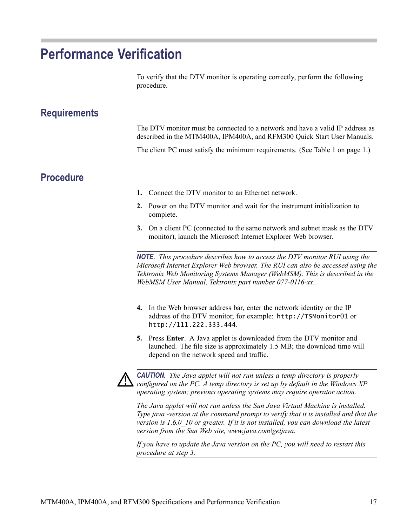## <span id="page-28-0"></span>**Performance Verification**

To verify that the DTV monitor is operating correctly, perform the following procedure.

### **Requirements**

The DTV monitor must be connected to a network and have a valid IP address as described in the MTM400A, IPM400A, and RFM300 Quick Start User Manuals.

The client PC must satisfy the minimum requirements. (See Table 1 on page [1.\)](#page-12-0)

### **Procedure**

- **1.** Connect the DTV monitor to an Ethernet network.
- **2.** Power on the DTV monitor and wait for the instrument initialization to complete.
- **3.** On a client PC (connected to the same network and subnet mask as the DTV monitor), launch the Microsoft Internet Explorer Web browser.

*NOTE. This procedure describes how to access the DTV monitor RUI using the Microsoft Internet Explorer Web browser. The RUI can also be accessed using the Tektronix Web Monitoring Systems Manager (WebMSM). This is described in the WebMSM User Manual, Tektronix part number 077-0116-xx.*

- **4.** In the Web browser address bar, enter the network identity or the IP address of the DTV monitor, for example: http://TSMonitor01 or http://111.222.333.444.
- **5.** Press **Enter**. A Java applet is downloaded from the DTV monitor and launched. The file size is approximately 1.5 MB; the download time will depend on the network speed and traffic.



*CAUTION. The Java applet will not run unless a temp directory is properly configured on the PC. A temp directory is set up by default in the Windows XP operating system; previous operating systems may require operator action.*

*The Java applet will not run unless the Sun Java Virtual Machine is installed. Type java -version at the command prompt to verify that it is installed and that the version is 1.6.0\_10 or greater. If it is not installed, you can download the latest version from the Sun Web site, www.java.com\getjava.*

*If you have to update the Java version on the PC, you will need to restart this procedure at step 3.*